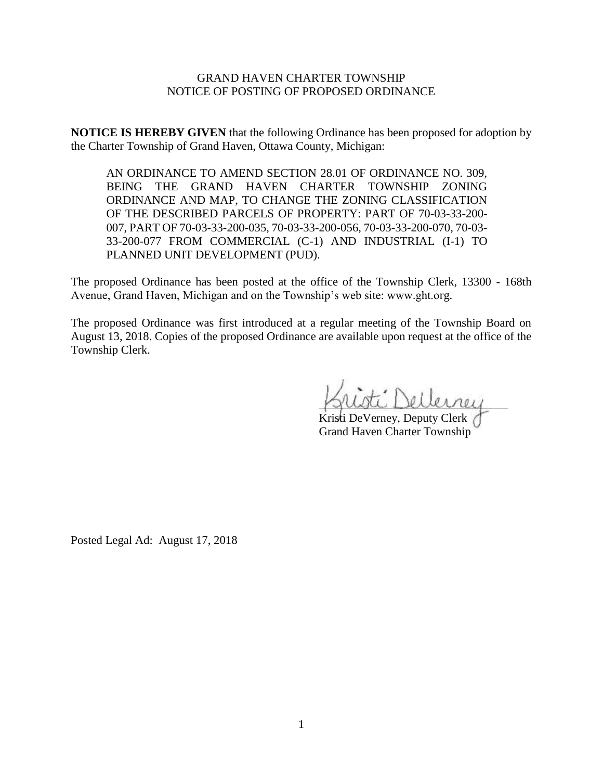## GRAND HAVEN CHARTER TOWNSHIP NOTICE OF POSTING OF PROPOSED ORDINANCE

**NOTICE IS HEREBY GIVEN** that the following Ordinance has been proposed for adoption by the Charter Township of Grand Haven, Ottawa County, Michigan:

AN ORDINANCE TO AMEND SECTION 28.01 OF ORDINANCE NO. 309, BEING THE GRAND HAVEN CHARTER TOWNSHIP ZONING ORDINANCE AND MAP, TO CHANGE THE ZONING CLASSIFICATION OF THE DESCRIBED PARCELS OF PROPERTY: PART OF 70-03-33-200- 007, PART OF 70-03-33-200-035, 70-03-33-200-056, 70-03-33-200-070, 70-03- 33-200-077 FROM COMMERCIAL (C-1) AND INDUSTRIAL (I-1) TO PLANNED UNIT DEVELOPMENT (PUD).

The proposed Ordinance has been posted at the office of the Township Clerk, 13300 - 168th Avenue, Grand Haven, Michigan and on the Township's web site: www.ght.org.

The proposed Ordinance was first introduced at a regular meeting of the Township Board on August 13, 2018. Copies of the proposed Ordinance are available upon request at the office of the Township Clerk.

\_\_\_\_\_\_\_\_\_\_\_\_\_\_\_\_\_\_\_\_\_\_\_\_\_\_\_\_\_\_\_\_

Kristi DeVerney, Deputy Clerk Grand Haven Charter Township

Posted Legal Ad: August 17, 2018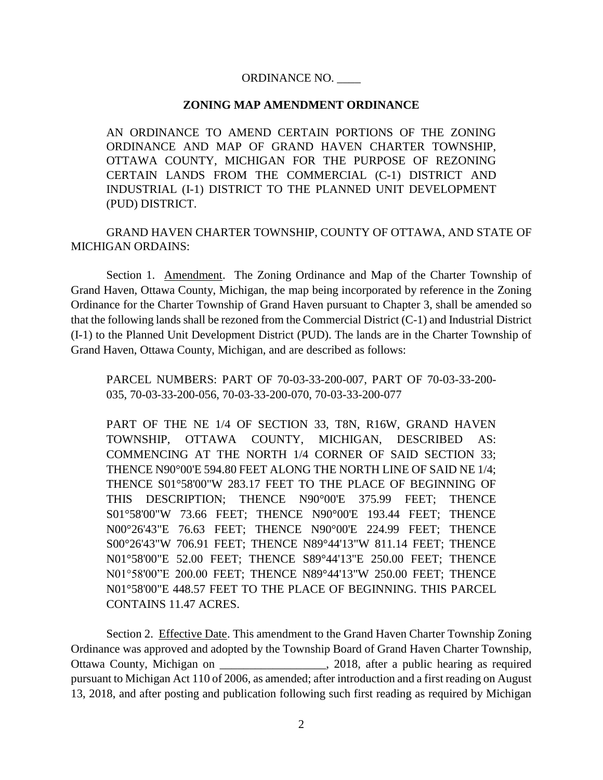## ORDINANCE NO. \_\_\_\_

## **ZONING MAP AMENDMENT ORDINANCE**

AN ORDINANCE TO AMEND CERTAIN PORTIONS OF THE ZONING ORDINANCE AND MAP OF GRAND HAVEN CHARTER TOWNSHIP, OTTAWA COUNTY, MICHIGAN FOR THE PURPOSE OF REZONING CERTAIN LANDS FROM THE COMMERCIAL (C-1) DISTRICT AND INDUSTRIAL (I-1) DISTRICT TO THE PLANNED UNIT DEVELOPMENT (PUD) DISTRICT.

GRAND HAVEN CHARTER TOWNSHIP, COUNTY OF OTTAWA, AND STATE OF MICHIGAN ORDAINS:

Section 1. Amendment. The Zoning Ordinance and Map of the Charter Township of Grand Haven, Ottawa County, Michigan, the map being incorporated by reference in the Zoning Ordinance for the Charter Township of Grand Haven pursuant to Chapter 3, shall be amended so that the following lands shall be rezoned from the Commercial District (C-1) and Industrial District (I-1) to the Planned Unit Development District (PUD). The lands are in the Charter Township of Grand Haven, Ottawa County, Michigan, and are described as follows:

PARCEL NUMBERS: PART OF 70-03-33-200-007, PART OF 70-03-33-200- 035, 70-03-33-200-056, 70-03-33-200-070, 70-03-33-200-077

PART OF THE NE 1/4 OF SECTION 33, T8N, R16W, GRAND HAVEN TOWNSHIP, OTTAWA COUNTY, MICHIGAN, DESCRIBED AS: COMMENCING AT THE NORTH 1/4 CORNER OF SAID SECTION 33; THENCE N90°00'E 594.80 FEET ALONG THE NORTH LINE OF SAID NE 1/4; THENCE S01°58'00"W 283.17 FEET TO THE PLACE OF BEGINNING OF THIS DESCRIPTION; THENCE N90°00'E 375.99 FEET; THENCE S01°58'00"W 73.66 FEET; THENCE N90°00'E 193.44 FEET; THENCE N00°26'43"E 76.63 FEET; THENCE N90°00'E 224.99 FEET; THENCE S00°26'43"W 706.91 FEET; THENCE N89°44'13"W 811.14 FEET; THENCE N01°58'00"E 52.00 FEET; THENCE S89°44'13"E 250.00 FEET; THENCE N01°58'00"E 200.00 FEET; THENCE N89°44'13"W 250.00 FEET; THENCE N01°58'00"E 448.57 FEET TO THE PLACE OF BEGINNING. THIS PARCEL CONTAINS 11.47 ACRES.

Section 2. Effective Date. This amendment to the Grand Haven Charter Township Zoning Ordinance was approved and adopted by the Township Board of Grand Haven Charter Township, Ottawa County, Michigan on \_\_\_\_\_\_\_\_\_\_\_\_\_\_\_\_\_\_, 2018, after a public hearing as required pursuant to Michigan Act 110 of 2006, as amended; after introduction and a first reading on August 13, 2018, and after posting and publication following such first reading as required by Michigan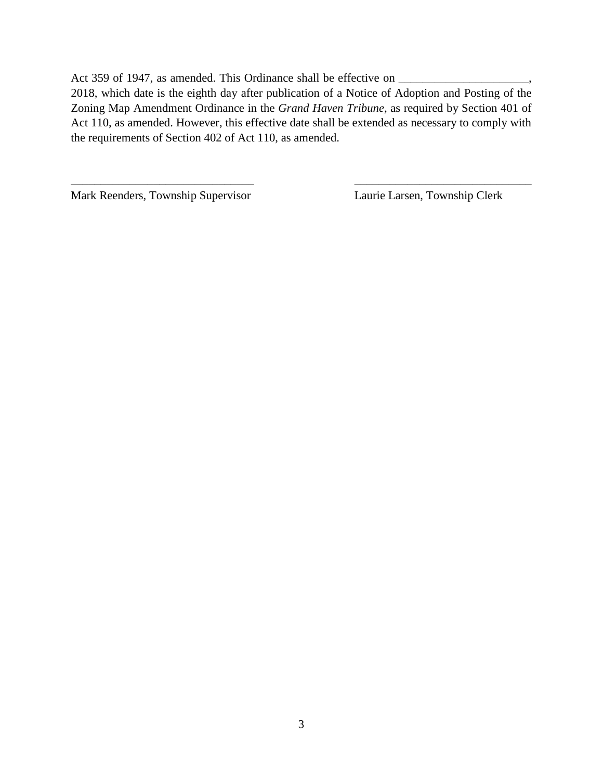Act 359 of 1947, as amended. This Ordinance shall be effective on \_\_\_\_\_\_\_\_\_\_\_\_\_\_\_

2018, which date is the eighth day after publication of a Notice of Adoption and Posting of the Zoning Map Amendment Ordinance in the *Grand Haven Tribune*, as required by Section 401 of Act 110, as amended. However, this effective date shall be extended as necessary to comply with the requirements of Section 402 of Act 110, as amended.

 $\overline{\phantom{a}}$  , and the contract of the contract of the contract of the contract of the contract of the contract of the contract of the contract of the contract of the contract of the contract of the contract of the contrac

Mark Reenders, Township Supervisor Laurie Larsen, Township Clerk